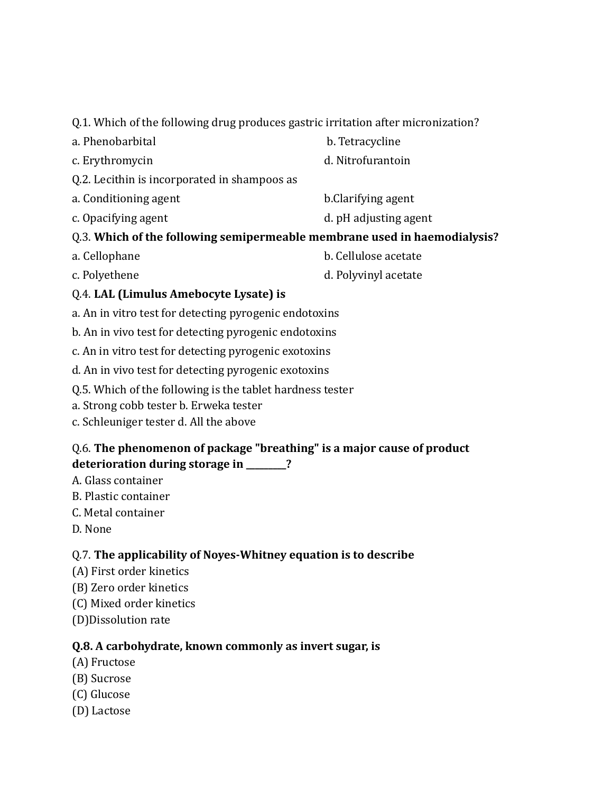Q.1. Which of the following drug produces gastric irritation after micronization?

- a. Phenobarbital b. Tetracycline c. Erythromycin d. Nitrofurantoin Q.2. Lecithin is incorporated in shampoos as a. Conditioning agent b.Clarifying agent c. Opacifying agent d. pH adjusting agent Q.3. **Which of the following semipermeable membrane used in haemodialysis?** a. Cellophane b. Cellulose acetate
- c. Polyethene d. Polyvinyl acetate

### Q.4. **LAL (Limulus Amebocyte Lysate) is**

- a. An in vitro test for detecting pyrogenic endotoxins
- b. An in vivo test for detecting pyrogenic endotoxins
- c. An in vitro test for detecting pyrogenic exotoxins
- d. An in vivo test for detecting pyrogenic exotoxins
- Q.5. Which of the following is the tablet hardness tester
- a. Strong cobb tester b. Erweka tester
- c. Schleuniger tester d. All the above

### Q.6. **The phenomenon of package "breathing" is a major cause of product deterioration during storage in \_\_\_\_\_\_\_\_\_?**

- A. Glass container
- B. Plastic container
- C. Metal container
- D. None

### Q.7. **The applicability of Noyes-Whitney equation is to describe**

- (A) First order kinetics
- (B) Zero order kinetics
- (C) Mixed order kinetics
- (D)Dissolution rate

### **Q.8. A carbohydrate, known commonly as invert sugar, is**

- (A) Fructose
- (B) Sucrose
- (C) Glucose
- (D) Lactose